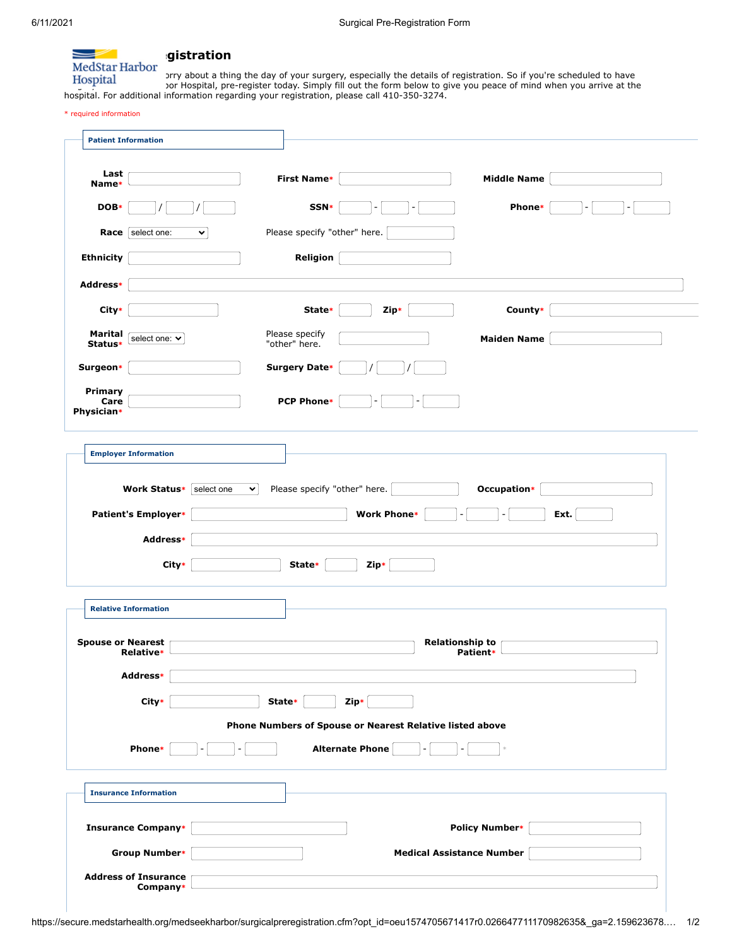

We don't all the day of your surgery, especially the details of registration. So if you're scheduled to have<br>Not the form helow to give you needed of mind when you arrive at the scheduled to have you arrive at the surgeright at MedStar Hospital, pre-register today. Simply fill out the form below to give you peace of mind when you arrive at the hospital. For additional information regarding your registration, please call 410-350-3274.

\* required information

| Last<br>Name*                 |                              |            |              | <b>First Name*</b>              |                              |                                                          |                                    | <b>Middle Name</b>    |      |  |
|-------------------------------|------------------------------|------------|--------------|---------------------------------|------------------------------|----------------------------------------------------------|------------------------------------|-----------------------|------|--|
| DOB*                          |                              |            |              | SSN*                            |                              |                                                          |                                    | Phone*                |      |  |
|                               | <b>Race</b> select one:      | v          |              |                                 | Please specify "other" here. |                                                          |                                    |                       |      |  |
| <b>Ethnicity</b>              |                              |            |              | Religion                        |                              |                                                          |                                    |                       |      |  |
| Address*                      |                              |            |              |                                 |                              |                                                          |                                    |                       |      |  |
| City*                         |                              |            |              | State*                          |                              | Zip*                                                     |                                    | County*               |      |  |
| Marital<br>Status*            | select one: ∨                |            |              | Please specify<br>"other" here. |                              |                                                          |                                    | <b>Maiden Name</b>    |      |  |
| Surgeon*                      |                              |            |              | Surgery Date*                   |                              |                                                          |                                    |                       |      |  |
| Primary<br>Care<br>Physician* |                              |            |              | <b>PCP Phone*</b>               |                              |                                                          |                                    |                       |      |  |
|                               | <b>Employer Information</b>  |            |              |                                 |                              |                                                          |                                    |                       |      |  |
|                               |                              |            |              |                                 |                              |                                                          |                                    |                       |      |  |
|                               | Work Status*                 | select one | $\checkmark$ |                                 | Please specify "other" here. |                                                          |                                    | Occupation*           |      |  |
|                               | Patient's Employer*          |            |              |                                 | <b>Work Phone*</b>           |                                                          |                                    |                       | Ext. |  |
|                               | <b>Address*</b>              |            |              |                                 |                              |                                                          |                                    |                       |      |  |
|                               | City*                        |            |              | State*                          | Zip*                         |                                                          |                                    |                       |      |  |
|                               | <b>Relative Information</b>  |            |              |                                 |                              |                                                          |                                    |                       |      |  |
|                               | Relative*                    |            |              |                                 |                              |                                                          | <b>Relationship to</b><br>Patient* |                       |      |  |
|                               | Address*                     |            |              |                                 |                              |                                                          |                                    |                       |      |  |
|                               | City*                        |            | State*       |                                 | Zip*                         |                                                          |                                    |                       |      |  |
|                               |                              |            |              |                                 |                              | Phone Numbers of Spouse or Nearest Relative listed above |                                    |                       |      |  |
|                               | <b>Phone*</b>                |            |              |                                 | Alternate Phone              |                                                          |                                    |                       |      |  |
|                               | <b>Insurance Information</b> |            |              |                                 |                              |                                                          |                                    |                       |      |  |
|                               | <b>Insurance Company*</b>    |            |              |                                 |                              |                                                          |                                    | <b>Policy Number*</b> |      |  |
| <b>Spouse or Nearest</b>      | <b>Group Number*</b>         |            |              |                                 |                              | <b>Medical Assistance Number</b>                         |                                    |                       |      |  |